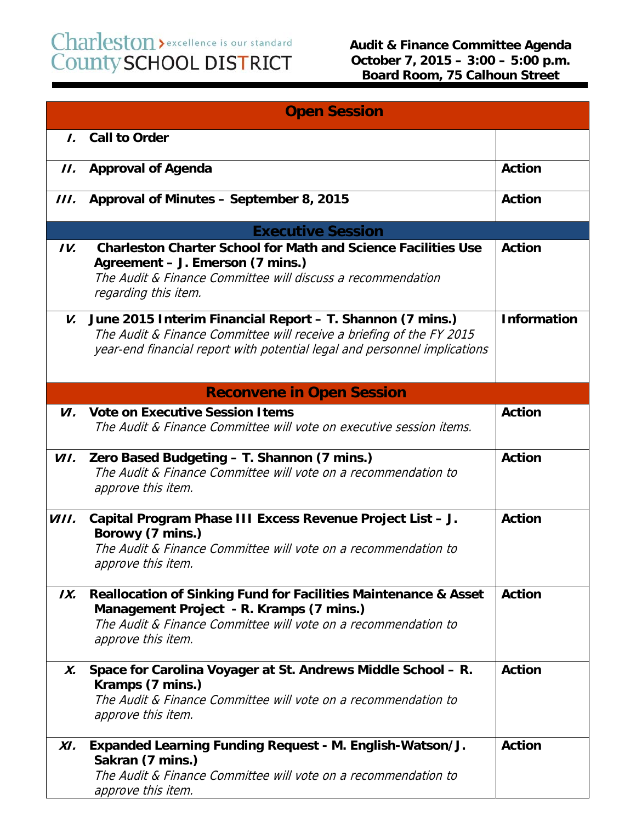## Charleston > excellence is our standard<br>County SCHOOL DISTRICT

| <b>Open Session</b> |                                                                                                                                                                                                                |                    |
|---------------------|----------------------------------------------------------------------------------------------------------------------------------------------------------------------------------------------------------------|--------------------|
| $\mathbf{L}$        | <b>Call to Order</b>                                                                                                                                                                                           |                    |
| II.                 | <b>Approval of Agenda</b>                                                                                                                                                                                      | <b>Action</b>      |
| III.                | Approval of Minutes - September 8, 2015                                                                                                                                                                        | <b>Action</b>      |
|                     | <b>Executive Session</b>                                                                                                                                                                                       |                    |
| IV.                 | <b>Charleston Charter School for Math and Science Facilities Use</b><br>Agreement - J. Emerson (7 mins.)<br>The Audit & Finance Committee will discuss a recommendation<br>regarding this item.                | <b>Action</b>      |
| V.                  | June 2015 Interim Financial Report - T. Shannon (7 mins.)<br>The Audit & Finance Committee will receive a briefing of the FY 2015<br>year-end financial report with potential legal and personnel implications | <b>Information</b> |
|                     | <b>Reconvene in Open Session</b>                                                                                                                                                                               |                    |
| VI.                 | <b>Vote on Executive Session Items</b><br>The Audit & Finance Committee will vote on executive session items.                                                                                                  | <b>Action</b>      |
| VII.                | Zero Based Budgeting - T. Shannon (7 mins.)<br>The Audit & Finance Committee will vote on a recommendation to<br>approve this item.                                                                            | <b>Action</b>      |
| <i>VIII.</i>        | Capital Program Phase III Excess Revenue Project List - J.<br>Borowy (7 mins.)<br>The Audit & Finance Committee will vote on a recommendation to<br>approve this item.                                         | <b>Action</b>      |
| IX.                 | <b>Reallocation of Sinking Fund for Facilities Maintenance &amp; Asset</b><br>Management Project - R. Kramps (7 mins.)<br>The Audit & Finance Committee will vote on a recommendation to<br>approve this item. | <b>Action</b>      |
| Х.                  | Space for Carolina Voyager at St. Andrews Middle School - R.<br>Kramps (7 mins.)<br>The Audit & Finance Committee will vote on a recommendation to<br>approve this item.                                       | <b>Action</b>      |
| XI.                 | Expanded Learning Funding Request - M. English-Watson/J.<br>Sakran (7 mins.)<br>The Audit & Finance Committee will vote on a recommendation to<br>approve this item.                                           | <b>Action</b>      |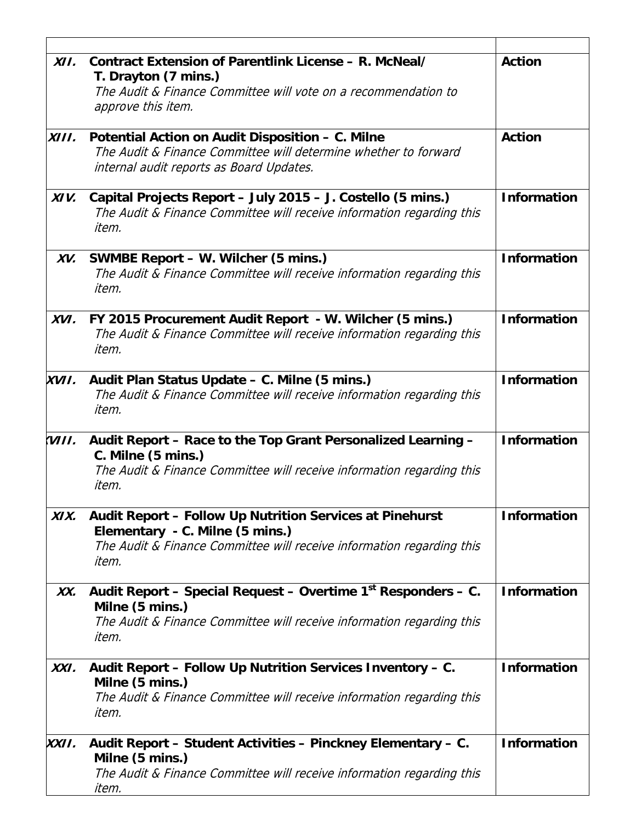| XII.  | Contract Extension of Parentlink License - R. McNeal/<br>T. Drayton (7 mins.)<br>The Audit & Finance Committee will vote on a recommendation to<br>approve this item.         | <b>Action</b>      |
|-------|-------------------------------------------------------------------------------------------------------------------------------------------------------------------------------|--------------------|
| XIII. | Potential Action on Audit Disposition - C. Milne<br>The Audit & Finance Committee will determine whether to forward<br>internal audit reports as Board Updates.               | <b>Action</b>      |
| XIV.  | Capital Projects Report - July 2015 - J. Costello (5 mins.)<br>The Audit & Finance Committee will receive information regarding this<br>item.                                 | <b>Information</b> |
| XV.   | SWMBE Report – W. Wilcher (5 mins.)<br>The Audit & Finance Committee will receive information regarding this<br>item.                                                         | <b>Information</b> |
| XVI.  | FY 2015 Procurement Audit Report - W. Wilcher (5 mins.)<br>The Audit & Finance Committee will receive information regarding this<br>item.                                     | <b>Information</b> |
| XVII. | Audit Plan Status Update – C. Milne (5 mins.)<br>The Audit & Finance Committee will receive information regarding this<br>item.                                               | <b>Information</b> |
| VIII. | Audit Report - Race to the Top Grant Personalized Learning -<br>C. Milne (5 mins.)<br>The Audit & Finance Committee will receive information regarding this<br>item.          | <b>Information</b> |
| XIX.  | Audit Report - Follow Up Nutrition Services at Pinehurst<br>Elementary - C. Milne (5 mins.)<br>The Audit & Finance Committee will receive information regarding this<br>item. | <b>Information</b> |
| XX.   | Audit Report - Special Request - Overtime 1st Responders - C.<br>Milne (5 mins.)<br>The Audit & Finance Committee will receive information regarding this<br>item.            | <b>Information</b> |
| XXI.  | Audit Report - Follow Up Nutrition Services Inventory - C.<br>Milne (5 mins.)<br>The Audit & Finance Committee will receive information regarding this<br>item.               | <b>Information</b> |
| XXII. | Audit Report - Student Activities - Pinckney Elementary - C.<br>Milne (5 mins.)<br>The Audit & Finance Committee will receive information regarding this<br>item.             | <b>Information</b> |